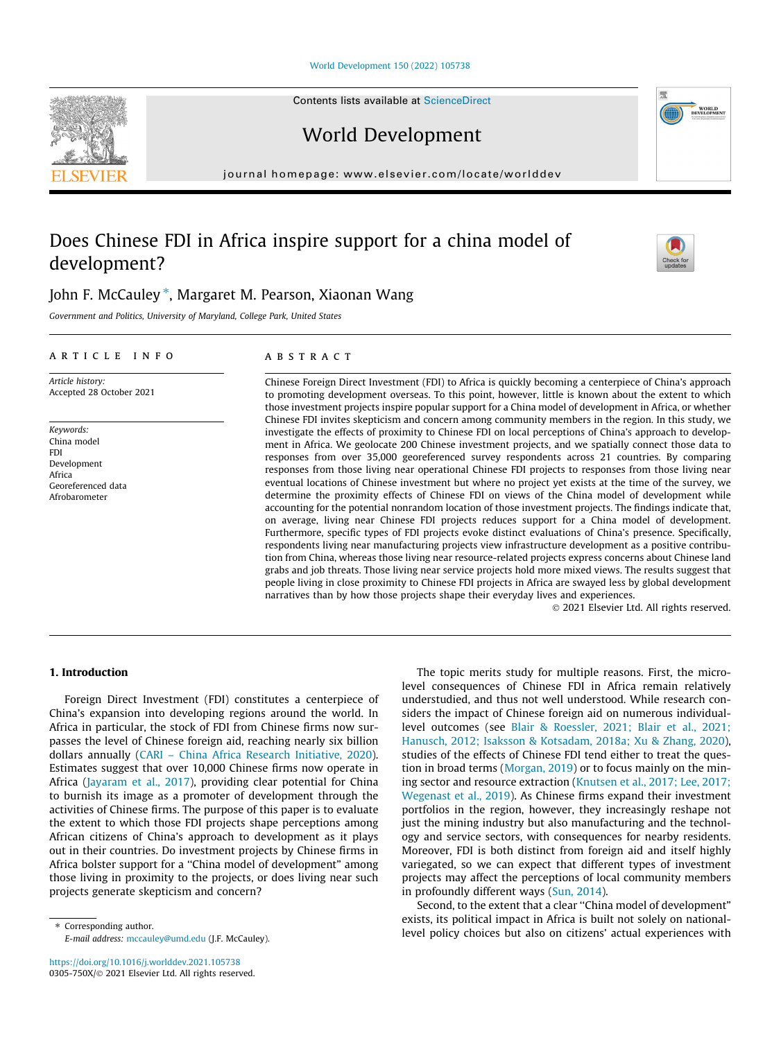#### [World Development 150 \(2022\) 105738](https://doi.org/10.1016/j.worlddev.2021.105738)

Contents lists available at [ScienceDirect](http://www.sciencedirect.com/science/journal/0305750X)

World Development

journal homepage: [www.elsevier.com/locate/worlddev](http://www.elsevier.com/locate/worlddev)

# Does Chinese FDI in Africa inspire support for a china model of development?

John F. McCauley \*, Margaret M. Pearson, Xiaonan Wang

Government and Politics, University of Maryland, College Park, United States

## article info

Article history: Accepted 28 October 2021

Keywords: China model **FDI** Development Africa Georeferenced data Afrobarometer

## **ABSTRACT**

Chinese Foreign Direct Investment (FDI) to Africa is quickly becoming a centerpiece of China's approach to promoting development overseas. To this point, however, little is known about the extent to which those investment projects inspire popular support for a China model of development in Africa, or whether Chinese FDI invites skepticism and concern among community members in the region. In this study, we investigate the effects of proximity to Chinese FDI on local perceptions of China's approach to development in Africa. We geolocate 200 Chinese investment projects, and we spatially connect those data to responses from over 35,000 georeferenced survey respondents across 21 countries. By comparing responses from those living near operational Chinese FDI projects to responses from those living near eventual locations of Chinese investment but where no project yet exists at the time of the survey, we determine the proximity effects of Chinese FDI on views of the China model of development while accounting for the potential nonrandom location of those investment projects. The findings indicate that, on average, living near Chinese FDI projects reduces support for a China model of development. Furthermore, specific types of FDI projects evoke distinct evaluations of China's presence. Specifically, respondents living near manufacturing projects view infrastructure development as a positive contribution from China, whereas those living near resource-related projects express concerns about Chinese land grabs and job threats. Those living near service projects hold more mixed views. The results suggest that people living in close proximity to Chinese FDI projects in Africa are swayed less by global development narratives than by how those projects shape their everyday lives and experiences.

2021 Elsevier Ltd. All rights reserved.

# 1. Introduction

Foreign Direct Investment (FDI) constitutes a centerpiece of China's expansion into developing regions around the world. In Africa in particular, the stock of FDI from Chinese firms now surpasses the level of Chinese foreign aid, reaching nearly six billion dollars annually ([CARI – China Africa Research Initiative, 2020\)](#page-10-0). Estimates suggest that over 10,000 Chinese firms now operate in Africa [\(Jayaram et al., 2017\)](#page-10-0), providing clear potential for China to burnish its image as a promoter of development through the activities of Chinese firms. The purpose of this paper is to evaluate the extent to which those FDI projects shape perceptions among African citizens of China's approach to development as it plays out in their countries. Do investment projects by Chinese firms in Africa bolster support for a ''China model of development" among those living in proximity to the projects, or does living near such projects generate skepticism and concern?

⇑ Corresponding author. E-mail address: [mccauley@umd.edu](mailto:mccauley@umd.edu) (J.F. McCauley).

The topic merits study for multiple reasons. First, the microlevel consequences of Chinese FDI in Africa remain relatively understudied, and thus not well understood. While research considers the impact of Chinese foreign aid on numerous individuallevel outcomes (see [Blair & Roessler, 2021; Blair et al., 2021;](#page-10-0) [Hanusch, 2012; Isaksson & Kotsadam, 2018a; Xu & Zhang, 2020\)](#page-10-0), studies of the effects of Chinese FDI tend either to treat the question in broad terms ([Morgan, 2019](#page-10-0)) or to focus mainly on the mining sector and resource extraction ([Knutsen et al., 2017; Lee, 2017;](#page-10-0) [Wegenast et al., 2019](#page-10-0)). As Chinese firms expand their investment portfolios in the region, however, they increasingly reshape not just the mining industry but also manufacturing and the technology and service sectors, with consequences for nearby residents. Moreover, FDI is both distinct from foreign aid and itself highly variegated, so we can expect that different types of investment projects may affect the perceptions of local community members in profoundly different ways [\(Sun, 2014](#page-11-0)).

Second, to the extent that a clear ''China model of development" exists, its political impact in Africa is built not solely on nationallevel policy choices but also on citizens' actual experiences with





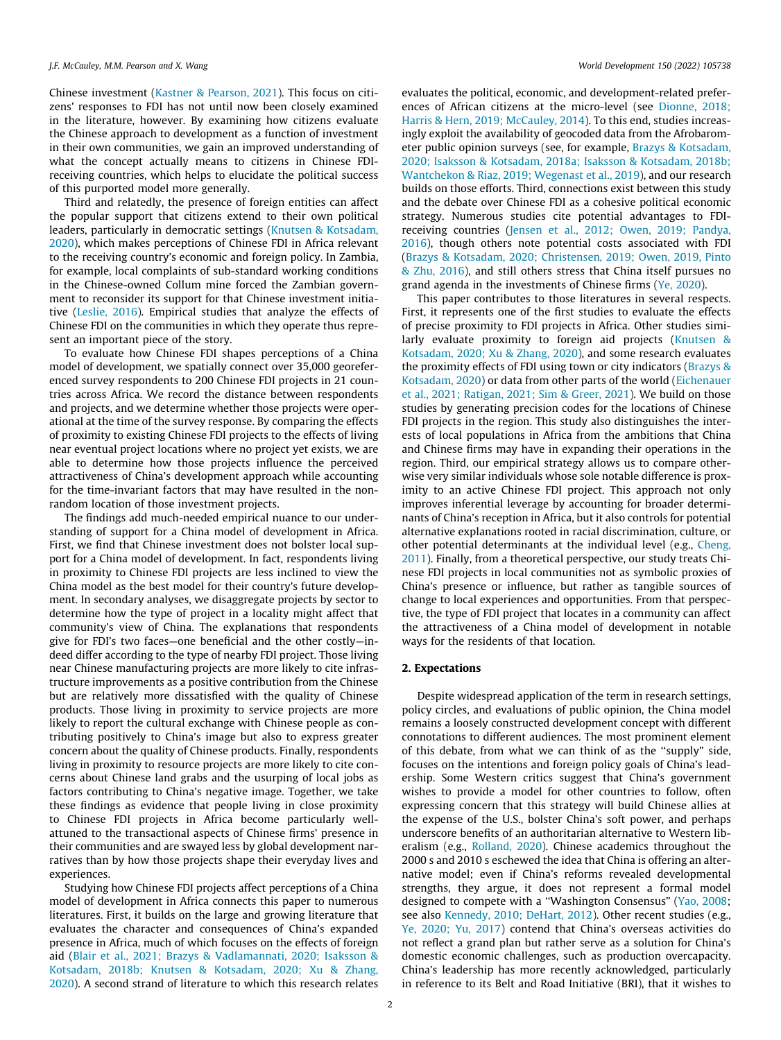Chinese investment [\(Kastner & Pearson, 2021\)](#page-10-0). This focus on citizens' responses to FDI has not until now been closely examined in the literature, however. By examining how citizens evaluate the Chinese approach to development as a function of investment in their own communities, we gain an improved understanding of what the concept actually means to citizens in Chinese FDIreceiving countries, which helps to elucidate the political success of this purported model more generally.

Third and relatedly, the presence of foreign entities can affect the popular support that citizens extend to their own political leaders, particularly in democratic settings ([Knutsen & Kotsadam,](#page-10-0) [2020](#page-10-0)), which makes perceptions of Chinese FDI in Africa relevant to the receiving country's economic and foreign policy. In Zambia, for example, local complaints of sub-standard working conditions in the Chinese-owned Collum mine forced the Zambian government to reconsider its support for that Chinese investment initiative ([Leslie, 2016\)](#page-10-0). Empirical studies that analyze the effects of Chinese FDI on the communities in which they operate thus represent an important piece of the story.

To evaluate how Chinese FDI shapes perceptions of a China model of development, we spatially connect over 35,000 georeferenced survey respondents to 200 Chinese FDI projects in 21 countries across Africa. We record the distance between respondents and projects, and we determine whether those projects were operational at the time of the survey response. By comparing the effects of proximity to existing Chinese FDI projects to the effects of living near eventual project locations where no project yet exists, we are able to determine how those projects influence the perceived attractiveness of China's development approach while accounting for the time-invariant factors that may have resulted in the nonrandom location of those investment projects.

The findings add much-needed empirical nuance to our understanding of support for a China model of development in Africa. First, we find that Chinese investment does not bolster local support for a China model of development. In fact, respondents living in proximity to Chinese FDI projects are less inclined to view the China model as the best model for their country's future development. In secondary analyses, we disaggregate projects by sector to determine how the type of project in a locality might affect that community's view of China. The explanations that respondents give for FDI's two faces—one beneficial and the other costly—indeed differ according to the type of nearby FDI project. Those living near Chinese manufacturing projects are more likely to cite infrastructure improvements as a positive contribution from the Chinese but are relatively more dissatisfied with the quality of Chinese products. Those living in proximity to service projects are more likely to report the cultural exchange with Chinese people as contributing positively to China's image but also to express greater concern about the quality of Chinese products. Finally, respondents living in proximity to resource projects are more likely to cite concerns about Chinese land grabs and the usurping of local jobs as factors contributing to China's negative image. Together, we take these findings as evidence that people living in close proximity to Chinese FDI projects in Africa become particularly wellattuned to the transactional aspects of Chinese firms' presence in their communities and are swayed less by global development narratives than by how those projects shape their everyday lives and experiences.

Studying how Chinese FDI projects affect perceptions of a China model of development in Africa connects this paper to numerous literatures. First, it builds on the large and growing literature that evaluates the character and consequences of China's expanded presence in Africa, much of which focuses on the effects of foreign aid ([Blair et al., 2021; Brazys & Vadlamannati, 2020; Isaksson &](#page-10-0) [Kotsadam, 2018b; Knutsen & Kotsadam, 2020; Xu & Zhang,](#page-10-0) [2020](#page-10-0)). A second strand of literature to which this research relates evaluates the political, economic, and development-related preferences of African citizens at the micro-level (see [Dionne, 2018;](#page-10-0) [Harris & Hern, 2019; McCauley, 2014](#page-10-0)). To this end, studies increasingly exploit the availability of geocoded data from the Afrobarometer public opinion surveys (see, for example, [Brazys & Kotsadam,](#page-10-0) [2020; Isaksson & Kotsadam, 2018a; Isaksson & Kotsadam, 2018b;](#page-10-0) [Wantchekon & Riaz, 2019; Wegenast et al., 2019\)](#page-10-0), and our research builds on those efforts. Third, connections exist between this study and the debate over Chinese FDI as a cohesive political economic strategy. Numerous studies cite potential advantages to FDIreceiving countries ([Jensen et al., 2012; Owen, 2019; Pandya,](#page-10-0) [2016\)](#page-10-0), though others note potential costs associated with FDI ([Brazys & Kotsadam, 2020; Christensen, 2019; Owen, 2019, Pinto](#page-10-0) [& Zhu, 2016](#page-10-0)), and still others stress that China itself pursues no grand agenda in the investments of Chinese firms ([Ye, 2020\)](#page-11-0).

This paper contributes to those literatures in several respects. First, it represents one of the first studies to evaluate the effects of precise proximity to FDI projects in Africa. Other studies similarly evaluate proximity to foreign aid projects ([Knutsen &](#page-10-0) [Kotsadam, 2020; Xu & Zhang, 2020\)](#page-10-0), and some research evaluates the proximity effects of FDI using town or city indicators ([Brazys &](#page-10-0) [Kotsadam, 2020\)](#page-10-0) or data from other parts of the world ([Eichenauer](#page-10-0) [et al., 2021; Ratigan, 2021; Sim & Greer, 2021](#page-10-0)). We build on those studies by generating precision codes for the locations of Chinese FDI projects in the region. This study also distinguishes the interests of local populations in Africa from the ambitions that China and Chinese firms may have in expanding their operations in the region. Third, our empirical strategy allows us to compare otherwise very similar individuals whose sole notable difference is proximity to an active Chinese FDI project. This approach not only improves inferential leverage by accounting for broader determinants of China's reception in Africa, but it also controls for potential alternative explanations rooted in racial discrimination, culture, or other potential determinants at the individual level (e.g., [Cheng,](#page-10-0) [2011\)](#page-10-0). Finally, from a theoretical perspective, our study treats Chinese FDI projects in local communities not as symbolic proxies of China's presence or influence, but rather as tangible sources of change to local experiences and opportunities. From that perspective, the type of FDI project that locates in a community can affect the attractiveness of a China model of development in notable ways for the residents of that location.

# 2. Expectations

Despite widespread application of the term in research settings, policy circles, and evaluations of public opinion, the China model remains a loosely constructed development concept with different connotations to different audiences. The most prominent element of this debate, from what we can think of as the ''supply" side, focuses on the intentions and foreign policy goals of China's leadership. Some Western critics suggest that China's government wishes to provide a model for other countries to follow, often expressing concern that this strategy will build Chinese allies at the expense of the U.S., bolster China's soft power, and perhaps underscore benefits of an authoritarian alternative to Western liberalism (e.g., [Rolland, 2020](#page-11-0)). Chinese academics throughout the 2000 s and 2010 s eschewed the idea that China is offering an alternative model; even if China's reforms revealed developmental strengths, they argue, it does not represent a formal model designed to compete with a "Washington Consensus" [\(Yao, 2008;](#page-11-0) see also [Kennedy, 2010; DeHart, 2012](#page-10-0)). Other recent studies (e.g., [Ye, 2020; Yu, 2017](#page-11-0)) contend that China's overseas activities do not reflect a grand plan but rather serve as a solution for China's domestic economic challenges, such as production overcapacity. China's leadership has more recently acknowledged, particularly in reference to its Belt and Road Initiative (BRI), that it wishes to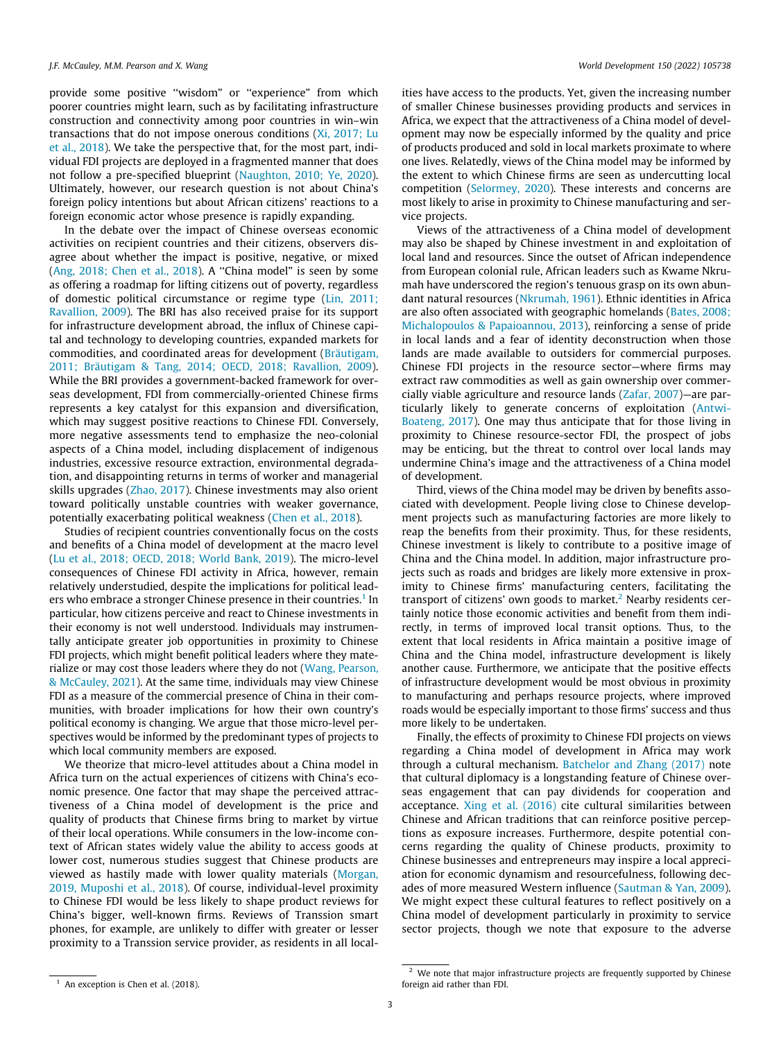provide some positive ''wisdom" or ''experience" from which poorer countries might learn, such as by facilitating infrastructure construction and connectivity among poor countries in win–win transactions that do not impose onerous conditions [\(Xi, 2017; Lu](#page-11-0) [et al., 2018\)](#page-11-0). We take the perspective that, for the most part, individual FDI projects are deployed in a fragmented manner that does not follow a pre-specified blueprint ([Naughton, 2010; Ye, 2020\)](#page-10-0). Ultimately, however, our research question is not about China's foreign policy intentions but about African citizens' reactions to a foreign economic actor whose presence is rapidly expanding.

In the debate over the impact of Chinese overseas economic activities on recipient countries and their citizens, observers disagree about whether the impact is positive, negative, or mixed ([Ang, 2018; Chen et al., 2018\)](#page-10-0). A ''China model" is seen by some as offering a roadmap for lifting citizens out of poverty, regardless of domestic political circumstance or regime type [\(Lin, 2011;](#page-10-0) [Ravallion, 2009](#page-10-0)). The BRI has also received praise for its support for infrastructure development abroad, the influx of Chinese capital and technology to developing countries, expanded markets for commodities, and coordinated areas for development ([Bräutigam,](#page-10-0) [2011; Bräutigam & Tang, 2014; OECD, 2018; Ravallion, 2009\)](#page-10-0). While the BRI provides a government-backed framework for overseas development, FDI from commercially-oriented Chinese firms represents a key catalyst for this expansion and diversification, which may suggest positive reactions to Chinese FDI. Conversely, more negative assessments tend to emphasize the neo-colonial aspects of a China model, including displacement of indigenous industries, excessive resource extraction, environmental degradation, and disappointing returns in terms of worker and managerial skills upgrades [\(Zhao, 2017](#page-11-0)). Chinese investments may also orient toward politically unstable countries with weaker governance, potentially exacerbating political weakness ([Chen et al., 2018\)](#page-10-0).

Studies of recipient countries conventionally focus on the costs and benefits of a China model of development at the macro level ([Lu et al., 2018; OECD, 2018; World Bank, 2019](#page-10-0)). The micro-level consequences of Chinese FDI activity in Africa, however, remain relatively understudied, despite the implications for political leaders who embrace a stronger Chinese presence in their countries.<sup>1</sup> In particular, how citizens perceive and react to Chinese investments in their economy is not well understood. Individuals may instrumentally anticipate greater job opportunities in proximity to Chinese FDI projects, which might benefit political leaders where they materialize or may cost those leaders where they do not [\(Wang, Pearson,](#page-11-0) [& McCauley, 2021](#page-11-0)). At the same time, individuals may view Chinese FDI as a measure of the commercial presence of China in their communities, with broader implications for how their own country's political economy is changing. We argue that those micro-level perspectives would be informed by the predominant types of projects to which local community members are exposed.

We theorize that micro-level attitudes about a China model in Africa turn on the actual experiences of citizens with China's economic presence. One factor that may shape the perceived attractiveness of a China model of development is the price and quality of products that Chinese firms bring to market by virtue of their local operations. While consumers in the low-income context of African states widely value the ability to access goods at lower cost, numerous studies suggest that Chinese products are viewed as hastily made with lower quality materials ([Morgan,](#page-10-0) [2019, Muposhi et al., 2018](#page-10-0)). Of course, individual-level proximity to Chinese FDI would be less likely to shape product reviews for China's bigger, well-known firms. Reviews of Transsion smart phones, for example, are unlikely to differ with greater or lesser proximity to a Transsion service provider, as residents in all localities have access to the products. Yet, given the increasing number of smaller Chinese businesses providing products and services in Africa, we expect that the attractiveness of a China model of development may now be especially informed by the quality and price of products produced and sold in local markets proximate to where one lives. Relatedly, views of the China model may be informed by the extent to which Chinese firms are seen as undercutting local competition [\(Selormey, 2020](#page-11-0)). These interests and concerns are most likely to arise in proximity to Chinese manufacturing and service projects.

Views of the attractiveness of a China model of development may also be shaped by Chinese investment in and exploitation of local land and resources. Since the outset of African independence from European colonial rule, African leaders such as Kwame Nkrumah have underscored the region's tenuous grasp on its own abundant natural resources [\(Nkrumah, 1961](#page-10-0)). Ethnic identities in Africa are also often associated with geographic homelands ([Bates, 2008;](#page-10-0) [Michalopoulos & Papaioannou, 2013](#page-10-0)), reinforcing a sense of pride in local lands and a fear of identity deconstruction when those lands are made available to outsiders for commercial purposes. Chinese FDI projects in the resource sector—where firms may extract raw commodities as well as gain ownership over commercially viable agriculture and resource lands [\(Zafar, 2007\)](#page-11-0)—are particularly likely to generate concerns of exploitation [\(Antwi-](#page-10-0)[Boateng, 2017](#page-10-0)). One may thus anticipate that for those living in proximity to Chinese resource-sector FDI, the prospect of jobs may be enticing, but the threat to control over local lands may undermine China's image and the attractiveness of a China model of development.

Third, views of the China model may be driven by benefits associated with development. People living close to Chinese development projects such as manufacturing factories are more likely to reap the benefits from their proximity. Thus, for these residents, Chinese investment is likely to contribute to a positive image of China and the China model. In addition, major infrastructure projects such as roads and bridges are likely more extensive in proximity to Chinese firms' manufacturing centers, facilitating the transport of citizens' own goods to market.<sup>2</sup> Nearby residents certainly notice those economic activities and benefit from them indirectly, in terms of improved local transit options. Thus, to the extent that local residents in Africa maintain a positive image of China and the China model, infrastructure development is likely another cause. Furthermore, we anticipate that the positive effects of infrastructure development would be most obvious in proximity to manufacturing and perhaps resource projects, where improved roads would be especially important to those firms' success and thus more likely to be undertaken.

Finally, the effects of proximity to Chinese FDI projects on views regarding a China model of development in Africa may work through a cultural mechanism. [Batchelor and Zhang \(2017\)](#page-10-0) note that cultural diplomacy is a longstanding feature of Chinese overseas engagement that can pay dividends for cooperation and acceptance. [Xing et al. \(2016\)](#page-11-0) cite cultural similarities between Chinese and African traditions that can reinforce positive perceptions as exposure increases. Furthermore, despite potential concerns regarding the quality of Chinese products, proximity to Chinese businesses and entrepreneurs may inspire a local appreciation for economic dynamism and resourcefulness, following decades of more measured Western influence ([Sautman & Yan, 2009\)](#page-11-0). We might expect these cultural features to reflect positively on a China model of development particularly in proximity to service sector projects, though we note that exposure to the adverse

<sup>&</sup>lt;sup>1</sup> An exception is Chen et al. (2018).

 $2$  We note that major infrastructure projects are frequently supported by Chinese foreign aid rather than FDI.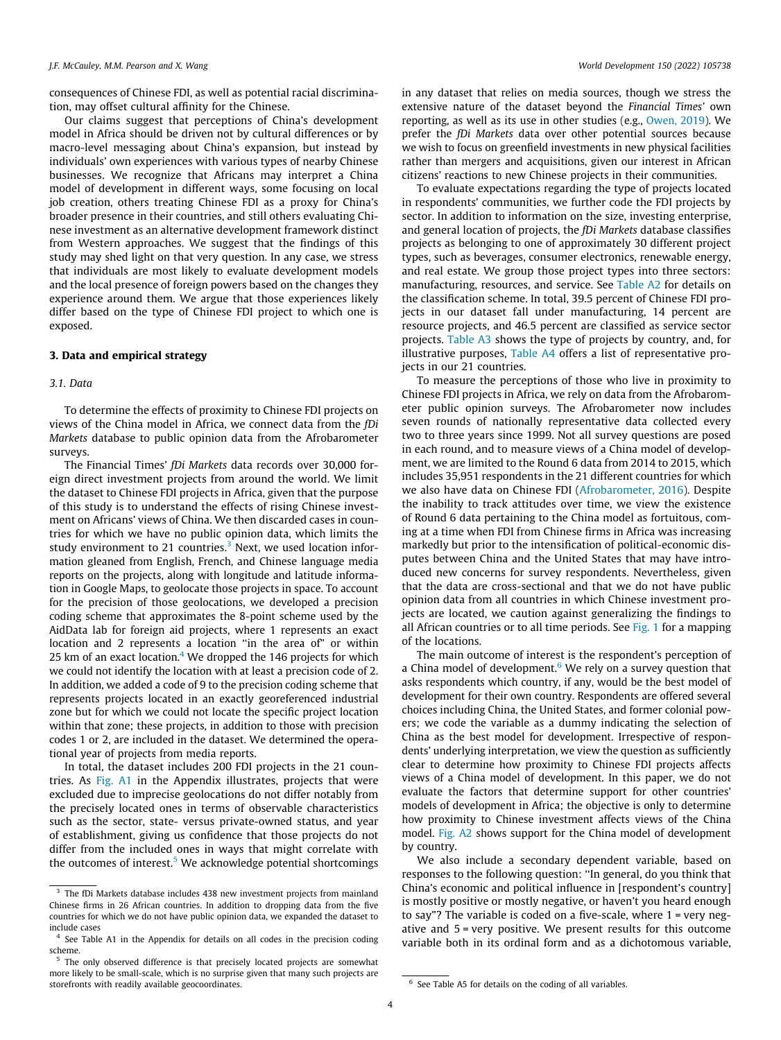consequences of Chinese FDI, as well as potential racial discrimination, may offset cultural affinity for the Chinese.

Our claims suggest that perceptions of China's development model in Africa should be driven not by cultural differences or by macro-level messaging about China's expansion, but instead by individuals' own experiences with various types of nearby Chinese businesses. We recognize that Africans may interpret a China model of development in different ways, some focusing on local job creation, others treating Chinese FDI as a proxy for China's broader presence in their countries, and still others evaluating Chinese investment as an alternative development framework distinct from Western approaches. We suggest that the findings of this study may shed light on that very question. In any case, we stress that individuals are most likely to evaluate development models and the local presence of foreign powers based on the changes they experience around them. We argue that those experiences likely differ based on the type of Chinese FDI project to which one is exposed.

#### 3. Data and empirical strategy

#### 3.1. Data

To determine the effects of proximity to Chinese FDI projects on views of the China model in Africa, we connect data from the fDi Markets database to public opinion data from the Afrobarometer surveys.

The Financial Times' fDi Markets data records over 30,000 foreign direct investment projects from around the world. We limit the dataset to Chinese FDI projects in Africa, given that the purpose of this study is to understand the effects of rising Chinese investment on Africans' views of China. We then discarded cases in countries for which we have no public opinion data, which limits the study environment to 21 countries.<sup>3</sup> Next, we used location information gleaned from English, French, and Chinese language media reports on the projects, along with longitude and latitude information in Google Maps, to geolocate those projects in space. To account for the precision of those geolocations, we developed a precision coding scheme that approximates the 8-point scheme used by the AidData lab for foreign aid projects, where 1 represents an exact location and 2 represents a location "in the area of" or within 25 km of an exact location. $4$  We dropped the 146 projects for which we could not identify the location with at least a precision code of 2. In addition, we added a code of 9 to the precision coding scheme that represents projects located in an exactly georeferenced industrial zone but for which we could not locate the specific project location within that zone; these projects, in addition to those with precision codes 1 or 2, are included in the dataset. We determined the operational year of projects from media reports.

In total, the dataset includes 200 FDI projects in the 21 countries. As Fig. A1 in the Appendix illustrates, projects that were excluded due to imprecise geolocations do not differ notably from the precisely located ones in terms of observable characteristics such as the sector, state- versus private-owned status, and year of establishment, giving us confidence that those projects do not differ from the included ones in ways that might correlate with the outcomes of interest. $5$  We acknowledge potential shortcomings in any dataset that relies on media sources, though we stress the extensive nature of the dataset beyond the Financial Times' own reporting, as well as its use in other studies (e.g., [Owen, 2019\)](#page-11-0). We prefer the fDi Markets data over other potential sources because we wish to focus on greenfield investments in new physical facilities rather than mergers and acquisitions, given our interest in African citizens' reactions to new Chinese projects in their communities.

To evaluate expectations regarding the type of projects located in respondents' communities, we further code the FDI projects by sector. In addition to information on the size, investing enterprise, and general location of projects, the fDi Markets database classifies projects as belonging to one of approximately 30 different project types, such as beverages, consumer electronics, renewable energy, and real estate. We group those project types into three sectors: manufacturing, resources, and service. See Table A2 for details on the classification scheme. In total, 39.5 percent of Chinese FDI projects in our dataset fall under manufacturing, 14 percent are resource projects, and 46.5 percent are classified as service sector projects. Table A3 shows the type of projects by country, and, for illustrative purposes, Table A4 offers a list of representative projects in our 21 countries.

To measure the perceptions of those who live in proximity to Chinese FDI projects in Africa, we rely on data from the Afrobarometer public opinion surveys. The Afrobarometer now includes seven rounds of nationally representative data collected every two to three years since 1999. Not all survey questions are posed in each round, and to measure views of a China model of development, we are limited to the Round 6 data from 2014 to 2015, which includes 35,951 respondents in the 21 different countries for which we also have data on Chinese FDI [\(Afrobarometer, 2016](#page-10-0)). Despite the inability to track attitudes over time, we view the existence of Round 6 data pertaining to the China model as fortuitous, coming at a time when FDI from Chinese firms in Africa was increasing markedly but prior to the intensification of political-economic disputes between China and the United States that may have introduced new concerns for survey respondents. Nevertheless, given that the data are cross-sectional and that we do not have public opinion data from all countries in which Chinese investment projects are located, we caution against generalizing the findings to all African countries or to all time periods. See [Fig. 1](#page-4-0) for a mapping of the locations.

The main outcome of interest is the respondent's perception of a China model of development. $6$  We rely on a survey question that asks respondents which country, if any, would be the best model of development for their own country. Respondents are offered several choices including China, the United States, and former colonial powers; we code the variable as a dummy indicating the selection of China as the best model for development. Irrespective of respondents' underlying interpretation, we view the question as sufficiently clear to determine how proximity to Chinese FDI projects affects views of a China model of development. In this paper, we do not evaluate the factors that determine support for other countries' models of development in Africa; the objective is only to determine how proximity to Chinese investment affects views of the China model. Fig. A2 shows support for the China model of development by country.

We also include a secondary dependent variable, based on responses to the following question: ''In general, do you think that China's economic and political influence in [respondent's country] is mostly positive or mostly negative, or haven't you heard enough to say"? The variable is coded on a five-scale, where 1 = very negative and 5 = very positive. We present results for this outcome variable both in its ordinal form and as a dichotomous variable,

<sup>&</sup>lt;sup>3</sup> The fDi Markets database includes 438 new investment projects from mainland Chinese firms in 26 African countries. In addition to dropping data from the five countries for which we do not have public opinion data, we expanded the dataset to include cases

<sup>5</sup> The only observed difference is that precisely located projects are somewhat more likely to be small-scale, which is no surprise given that many such projects are storefronts with readily available geocoordinates. The state of See Table A5 for details on the coding of all variables.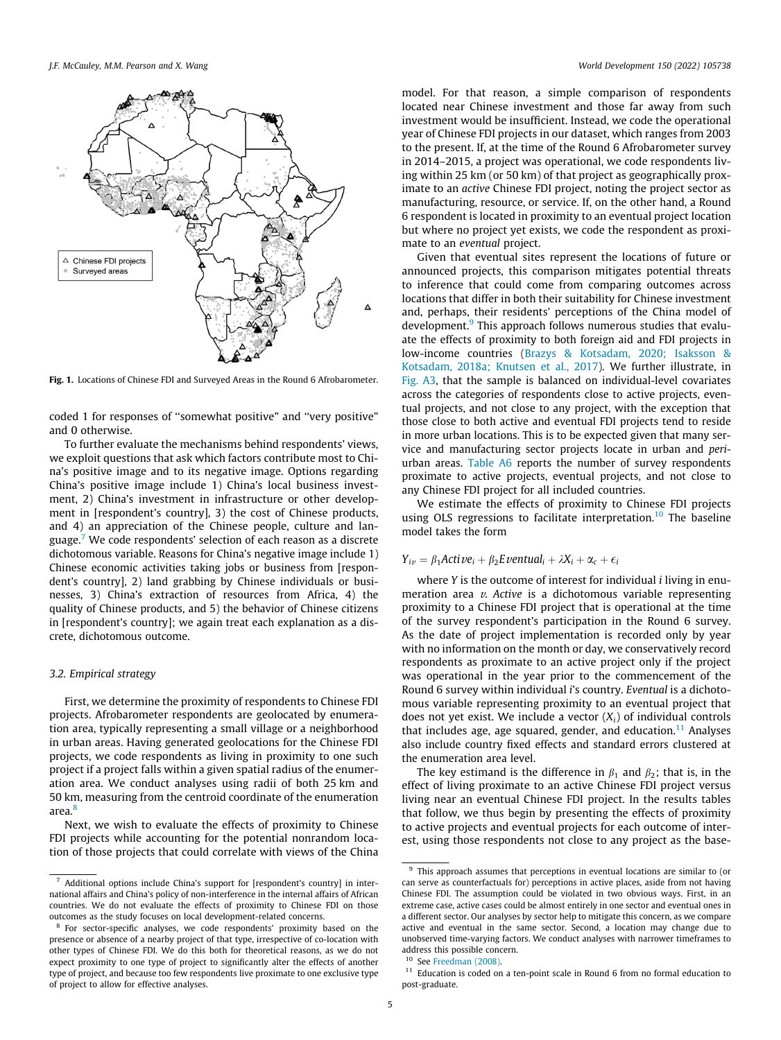<span id="page-4-0"></span>

Fig. 1. Locations of Chinese FDI and Surveyed Areas in the Round 6 Afrobarometer.

coded 1 for responses of ''somewhat positive" and ''very positive" and 0 otherwise.

To further evaluate the mechanisms behind respondents' views, we exploit questions that ask which factors contribute most to China's positive image and to its negative image. Options regarding China's positive image include 1) China's local business investment, 2) China's investment in infrastructure or other development in [respondent's country], 3) the cost of Chinese products, and 4) an appreciation of the Chinese people, culture and language.7 We code respondents' selection of each reason as a discrete dichotomous variable. Reasons for China's negative image include 1) Chinese economic activities taking jobs or business from [respondent's country], 2) land grabbing by Chinese individuals or businesses, 3) China's extraction of resources from Africa, 4) the quality of Chinese products, and 5) the behavior of Chinese citizens in [respondent's country]; we again treat each explanation as a discrete, dichotomous outcome.

# 3.2. Empirical strategy

First, we determine the proximity of respondents to Chinese FDI projects. Afrobarometer respondents are geolocated by enumeration area, typically representing a small village or a neighborhood in urban areas. Having generated geolocations for the Chinese FDI projects, we code respondents as living in proximity to one such project if a project falls within a given spatial radius of the enumeration area. We conduct analyses using radii of both 25 km and 50 km, measuring from the centroid coordinate of the enumeration area.<sup>8</sup>

Next, we wish to evaluate the effects of proximity to Chinese FDI projects while accounting for the potential nonrandom location of those projects that could correlate with views of the China

model. For that reason, a simple comparison of respondents located near Chinese investment and those far away from such investment would be insufficient. Instead, we code the operational year of Chinese FDI projects in our dataset, which ranges from 2003 to the present. If, at the time of the Round 6 Afrobarometer survey in 2014–2015, a project was operational, we code respondents living within 25 km (or 50 km) of that project as geographically proximate to an active Chinese FDI project, noting the project sector as manufacturing, resource, or service. If, on the other hand, a Round 6 respondent is located in proximity to an eventual project location but where no project yet exists, we code the respondent as proximate to an eventual project.

Given that eventual sites represent the locations of future or announced projects, this comparison mitigates potential threats to inference that could come from comparing outcomes across locations that differ in both their suitability for Chinese investment and, perhaps, their residents' perceptions of the China model of development.<sup>9</sup> This approach follows numerous studies that evaluate the effects of proximity to both foreign aid and FDI projects in low-income countries [\(Brazys & Kotsadam, 2020; Isaksson &](#page-10-0) [Kotsadam, 2018a; Knutsen et al., 2017](#page-10-0)). We further illustrate, in Fig. A3, that the sample is balanced on individual-level covariates across the categories of respondents close to active projects, eventual projects, and not close to any project, with the exception that those close to both active and eventual FDI projects tend to reside in more urban locations. This is to be expected given that many service and manufacturing sector projects locate in urban and periurban areas. Table A6 reports the number of survey respondents proximate to active projects, eventual projects, and not close to any Chinese FDI project for all included countries.

We estimate the effects of proximity to Chinese FDI projects using OLS regressions to facilitate interpretation.<sup>10</sup> The baseline model takes the form

# $Y_{iv} = \beta_1$ Acti $ve_i + \beta_2$ Eventual<sub>i</sub> +  $\lambda X_i + \alpha_c + \epsilon_i$

where Y is the outcome of interest for individual *i* living in enumeration area  $v$ . Active is a dichotomous variable representing proximity to a Chinese FDI project that is operational at the time of the survey respondent's participation in the Round 6 survey. As the date of project implementation is recorded only by year with no information on the month or day, we conservatively record respondents as proximate to an active project only if the project was operational in the year prior to the commencement of the Round 6 survey within individual i's country. Eventual is a dichotomous variable representing proximity to an eventual project that does not yet exist. We include a vector  $(X_i)$  of individual controls that includes age, age squared, gender, and education.<sup>11</sup> Analyses also include country fixed effects and standard errors clustered at the enumeration area level.

The key estimand is the difference in  $\beta_1$  and  $\beta_2$ ; that is, in the effect of living proximate to an active Chinese FDI project versus living near an eventual Chinese FDI project. In the results tables that follow, we thus begin by presenting the effects of proximity to active projects and eventual projects for each outcome of interest, using those respondents not close to any project as the base-

<sup>7</sup> Additional options include China's support for [respondent's country] in international affairs and China's policy of non-interference in the internal affairs of African countries. We do not evaluate the effects of proximity to Chinese FDI on those outcomes as the study focuses on local development-related concerns.

<sup>8</sup> For sector-specific analyses, we code respondents' proximity based on the presence or absence of a nearby project of that type, irrespective of co-location with other types of Chinese FDI. We do this both for theoretical reasons, as we do not expect proximity to one type of project to significantly alter the effects of another type of project, and because too few respondents live proximate to one exclusive type of project to allow for effective analyses.

<sup>&</sup>lt;sup>9</sup> This approach assumes that perceptions in eventual locations are similar to (or can serve as counterfactuals for) perceptions in active places, aside from not having Chinese FDI. The assumption could be violated in two obvious ways. First, in an extreme case, active cases could be almost entirely in one sector and eventual ones in a different sector. Our analyses by sector help to mitigate this concern, as we compare active and eventual in the same sector. Second, a location may change due to unobserved time-varying factors. We conduct analyses with narrower timeframes to address this possible concern.

See [Freedman \(2008\).](#page-10-0)

<sup>&</sup>lt;sup>11</sup> Education is coded on a ten-point scale in Round 6 from no formal education to post-graduate.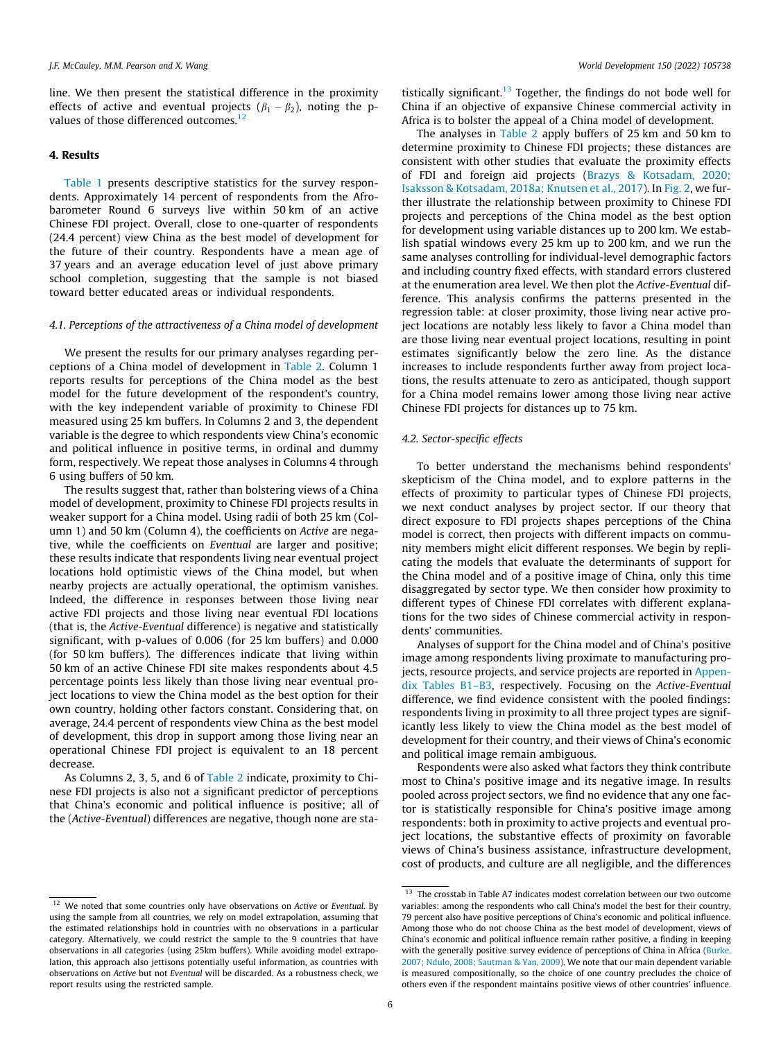line. We then present the statistical difference in the proximity effects of active and eventual projects  $(\beta_1 - \beta_2)$ , noting the pvalues of those differenced outcomes.<sup>12</sup>

# 4. Results

[Table 1](#page-6-0) presents descriptive statistics for the survey respondents. Approximately 14 percent of respondents from the Afrobarometer Round 6 surveys live within 50 km of an active Chinese FDI project. Overall, close to one-quarter of respondents (24.4 percent) view China as the best model of development for the future of their country. Respondents have a mean age of 37 years and an average education level of just above primary school completion, suggesting that the sample is not biased toward better educated areas or individual respondents.

# 4.1. Perceptions of the attractiveness of a China model of development

We present the results for our primary analyses regarding perceptions of a China model of development in [Table 2.](#page-6-0) Column 1 reports results for perceptions of the China model as the best model for the future development of the respondent's country, with the key independent variable of proximity to Chinese FDI measured using 25 km buffers. In Columns 2 and 3, the dependent variable is the degree to which respondents view China's economic and political influence in positive terms, in ordinal and dummy form, respectively. We repeat those analyses in Columns 4 through 6 using buffers of 50 km.

The results suggest that, rather than bolstering views of a China model of development, proximity to Chinese FDI projects results in weaker support for a China model. Using radii of both 25 km (Column 1) and 50 km (Column 4), the coefficients on Active are negative, while the coefficients on Eventual are larger and positive; these results indicate that respondents living near eventual project locations hold optimistic views of the China model, but when nearby projects are actually operational, the optimism vanishes. Indeed, the difference in responses between those living near active FDI projects and those living near eventual FDI locations (that is, the Active-Eventual difference) is negative and statistically significant, with p-values of 0.006 (for 25 km buffers) and 0.000 (for 50 km buffers). The differences indicate that living within 50 km of an active Chinese FDI site makes respondents about 4.5 percentage points less likely than those living near eventual project locations to view the China model as the best option for their own country, holding other factors constant. Considering that, on average, 24.4 percent of respondents view China as the best model of development, this drop in support among those living near an operational Chinese FDI project is equivalent to an 18 percent decrease.

As Columns 2, 3, 5, and 6 of [Table 2](#page-6-0) indicate, proximity to Chinese FDI projects is also not a significant predictor of perceptions that China's economic and political influence is positive; all of the (Active-Eventual) differences are negative, though none are sta-

tistically significant.<sup>13</sup> Together, the findings do not bode well for China if an objective of expansive Chinese commercial activity in Africa is to bolster the appeal of a China model of development.

The analyses in [Table 2](#page-6-0) apply buffers of 25 km and 50 km to determine proximity to Chinese FDI projects; these distances are consistent with other studies that evaluate the proximity effects of FDI and foreign aid projects ([Brazys & Kotsadam, 2020;](#page-10-0) [Isaksson & Kotsadam, 2018a; Knutsen et al., 2017\)](#page-10-0). In [Fig. 2,](#page-6-0) we further illustrate the relationship between proximity to Chinese FDI projects and perceptions of the China model as the best option for development using variable distances up to 200 km. We establish spatial windows every 25 km up to 200 km, and we run the same analyses controlling for individual-level demographic factors and including country fixed effects, with standard errors clustered at the enumeration area level. We then plot the Active-Eventual difference. This analysis confirms the patterns presented in the regression table: at closer proximity, those living near active project locations are notably less likely to favor a China model than are those living near eventual project locations, resulting in point estimates significantly below the zero line. As the distance increases to include respondents further away from project locations, the results attenuate to zero as anticipated, though support for a China model remains lower among those living near active Chinese FDI projects for distances up to 75 km.

#### 4.2. Sector-specific effects

To better understand the mechanisms behind respondents' skepticism of the China model, and to explore patterns in the effects of proximity to particular types of Chinese FDI projects, we next conduct analyses by project sector. If our theory that direct exposure to FDI projects shapes perceptions of the China model is correct, then projects with different impacts on community members might elicit different responses. We begin by replicating the models that evaluate the determinants of support for the China model and of a positive image of China, only this time disaggregated by sector type. We then consider how proximity to different types of Chinese FDI correlates with different explanations for the two sides of Chinese commercial activity in respondents' communities.

Analyses of support for the China model and of China's positive image among respondents living proximate to manufacturing projects, resource projects, and service projects are reported in Appendix Tables B1–B3, respectively. Focusing on the Active-Eventual difference, we find evidence consistent with the pooled findings: respondents living in proximity to all three project types are significantly less likely to view the China model as the best model of development for their country, and their views of China's economic and political image remain ambiguous.

Respondents were also asked what factors they think contribute most to China's positive image and its negative image. In results pooled across project sectors, we find no evidence that any one factor is statistically responsible for China's positive image among respondents: both in proximity to active projects and eventual project locations, the substantive effects of proximity on favorable views of China's business assistance, infrastructure development, cost of products, and culture are all negligible, and the differences

 $12$  We noted that some countries only have observations on Active or Eventual. By using the sample from all countries, we rely on model extrapolation, assuming that the estimated relationships hold in countries with no observations in a particular category. Alternatively, we could restrict the sample to the 9 countries that have observations in all categories (using 25km buffers). While avoiding model extrapolation, this approach also jettisons potentially useful information, as countries with observations on Active but not Eventual will be discarded. As a robustness check, we report results using the restricted sample.

<sup>&</sup>lt;sup>13</sup> The crosstab in Table A7 indicates modest correlation between our two outcome variables: among the respondents who call China's model the best for their country, 79 percent also have positive perceptions of China's economic and political influence. Among those who do not choose China as the best model of development, views of China's economic and political influence remain rather positive, a finding in keeping with the generally positive survey evidence of perceptions of China in Africa [\(Burke,](#page-10-0) [2007; Ndulo, 2008; Sautman & Yan, 2009](#page-10-0)). We note that our main dependent variable is measured compositionally, so the choice of one country precludes the choice of others even if the respondent maintains positive views of other countries' influence.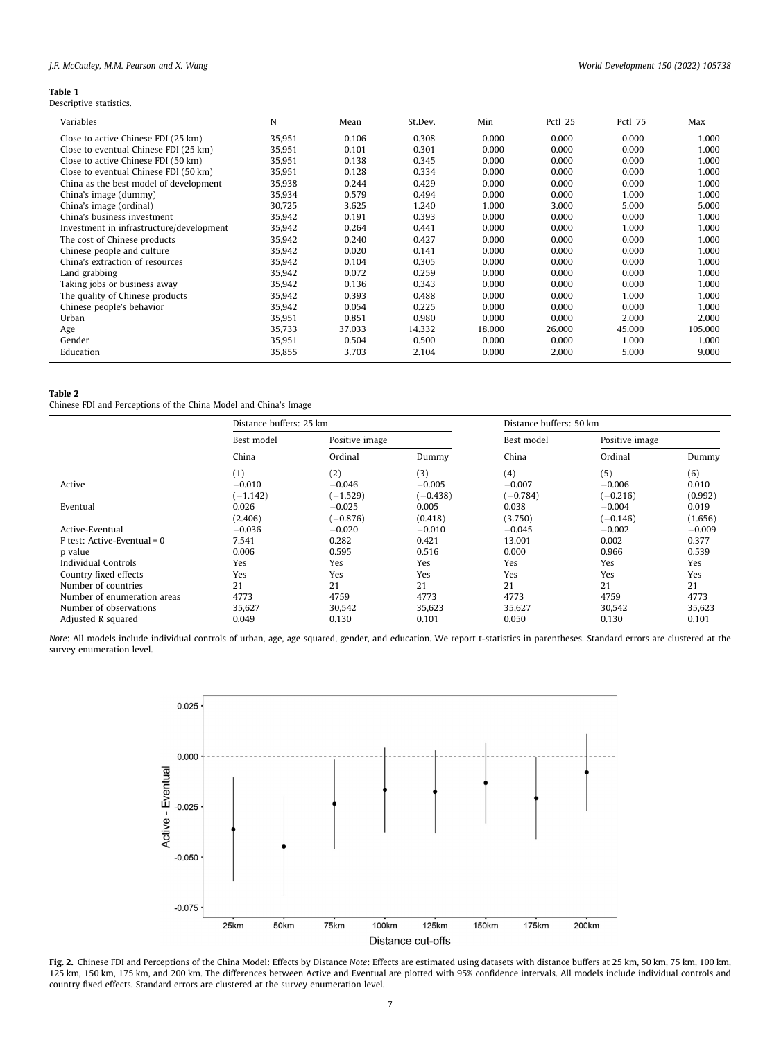# <span id="page-6-0"></span>J.F. McCauley, M.M. Pearson and X. Wang World Development 150 (2022) 105738

l,

Descriptive statistics.

| Variables                                | N      | Mean   | St.Dev. | Min    | Pctl_25 | Pctl_75 | Max     |
|------------------------------------------|--------|--------|---------|--------|---------|---------|---------|
| Close to active Chinese FDI (25 km)      | 35,951 | 0.106  | 0.308   | 0.000  | 0.000   | 0.000   | 1.000   |
| Close to eventual Chinese FDI (25 km)    | 35,951 | 0.101  | 0.301   | 0.000  | 0.000   | 0.000   | 1.000   |
| Close to active Chinese FDI (50 km)      | 35,951 | 0.138  | 0.345   | 0.000  | 0.000   | 0.000   | 1.000   |
| Close to eventual Chinese FDI (50 km)    | 35,951 | 0.128  | 0.334   | 0.000  | 0.000   | 0.000   | 1.000   |
| China as the best model of development   | 35,938 | 0.244  | 0.429   | 0.000  | 0.000   | 0.000   | 1.000   |
| China's image (dummy)                    | 35,934 | 0.579  | 0.494   | 0.000  | 0.000   | 1.000   | 1.000   |
| China's image (ordinal)                  | 30,725 | 3.625  | 1.240   | 1.000  | 3.000   | 5.000   | 5.000   |
| China's business investment              | 35,942 | 0.191  | 0.393   | 0.000  | 0.000   | 0.000   | 1.000   |
| Investment in infrastructure/development | 35,942 | 0.264  | 0.441   | 0.000  | 0.000   | 1.000   | 1.000   |
| The cost of Chinese products             | 35,942 | 0.240  | 0.427   | 0.000  | 0.000   | 0.000   | 1.000   |
| Chinese people and culture               | 35,942 | 0.020  | 0.141   | 0.000  | 0.000   | 0.000   | 1.000   |
| China's extraction of resources          | 35,942 | 0.104  | 0.305   | 0.000  | 0.000   | 0.000   | 1.000   |
| Land grabbing                            | 35,942 | 0.072  | 0.259   | 0.000  | 0.000   | 0.000   | 1.000   |
| Taking jobs or business away             | 35,942 | 0.136  | 0.343   | 0.000  | 0.000   | 0.000   | 1.000   |
| The quality of Chinese products          | 35,942 | 0.393  | 0.488   | 0.000  | 0.000   | 1.000   | 1.000   |
| Chinese people's behavior                | 35,942 | 0.054  | 0.225   | 0.000  | 0.000   | 0.000   | 1.000   |
| Urban                                    | 35,951 | 0.851  | 0.980   | 0.000  | 0.000   | 2.000   | 2.000   |
| Age                                      | 35,733 | 37.033 | 14.332  | 18.000 | 26.000  | 45.000  | 105.000 |
| Gender                                   | 35,951 | 0.504  | 0.500   | 0.000  | 0.000   | 1.000   | 1.000   |
| Education                                | 35,855 | 3.703  | 2.104   | 0.000  | 2.000   | 5.000   | 9.000   |

# Table 2

Chinese FDI and Perceptions of the China Model and China's Image

|                               | Distance buffers: 25 km |                |            | Distance buffers: 50 km |                |          |  |
|-------------------------------|-------------------------|----------------|------------|-------------------------|----------------|----------|--|
|                               | Best model              | Positive image |            | Best model              | Positive image |          |  |
|                               | China                   | Ordinal        | Dummy      | China                   | Ordinal        | Dummy    |  |
|                               | (1)                     | (2)            | (3)        | (4)                     | (5)            | (6)      |  |
| Active                        | $-0.010$                | $-0.046$       | $-0.005$   | $-0.007$                | $-0.006$       | 0.010    |  |
|                               | $(-1.142)$              | $(-1.529)$     | $(-0.438)$ | $(-0.784)$              | $(-0.216)$     | (0.992)  |  |
| Eventual                      | 0.026                   | $-0.025$       | 0.005      | 0.038                   | $-0.004$       | 0.019    |  |
|                               | (2.406)                 | $(-0.876)$     | (0.418)    | (3.750)                 | $(-0.146)$     | (1.656)  |  |
| Active-Eventual               | $-0.036$                | $-0.020$       | $-0.010$   | $-0.045$                | $-0.002$       | $-0.009$ |  |
| $F$ test: Active-Eventual = 0 | 7.541                   | 0.282          | 0.421      | 13.001                  | 0.002          | 0.377    |  |
| p value                       | 0.006                   | 0.595          | 0.516      | 0.000                   | 0.966          | 0.539    |  |
| Individual Controls           | Yes                     | Yes            | Yes        | Yes                     | Yes            | Yes      |  |
| Country fixed effects         | Yes                     | Yes            | Yes        | Yes                     | Yes            | Yes      |  |
| Number of countries           | 21                      | 21             | 21         | 21                      | 21             | 21       |  |
| Number of enumeration areas   | 4773                    | 4759           | 4773       | 4773                    | 4759           | 4773     |  |
| Number of observations        | 35,627                  | 30,542         | 35,623     | 35,627                  | 30,542         | 35,623   |  |
| Adjusted R squared            | 0.049                   | 0.130          | 0.101      | 0.050                   | 0.130          | 0.101    |  |

Note: All models include individual controls of urban, age, age squared, gender, and education. We report t-statistics in parentheses. Standard errors are clustered at the survey enumeration level.



Fig. 2. Chinese FDI and Perceptions of the China Model: Effects by Distance Note: Effects are estimated using datasets with distance buffers at 25 km, 50 km, 75 km, 100 km, 125 km, 150 km, 175 km, and 200 km. The differences between Active and Eventual are plotted with 95% confidence intervals. All models include individual controls and country fixed effects. Standard errors are clustered at the survey enumeration level.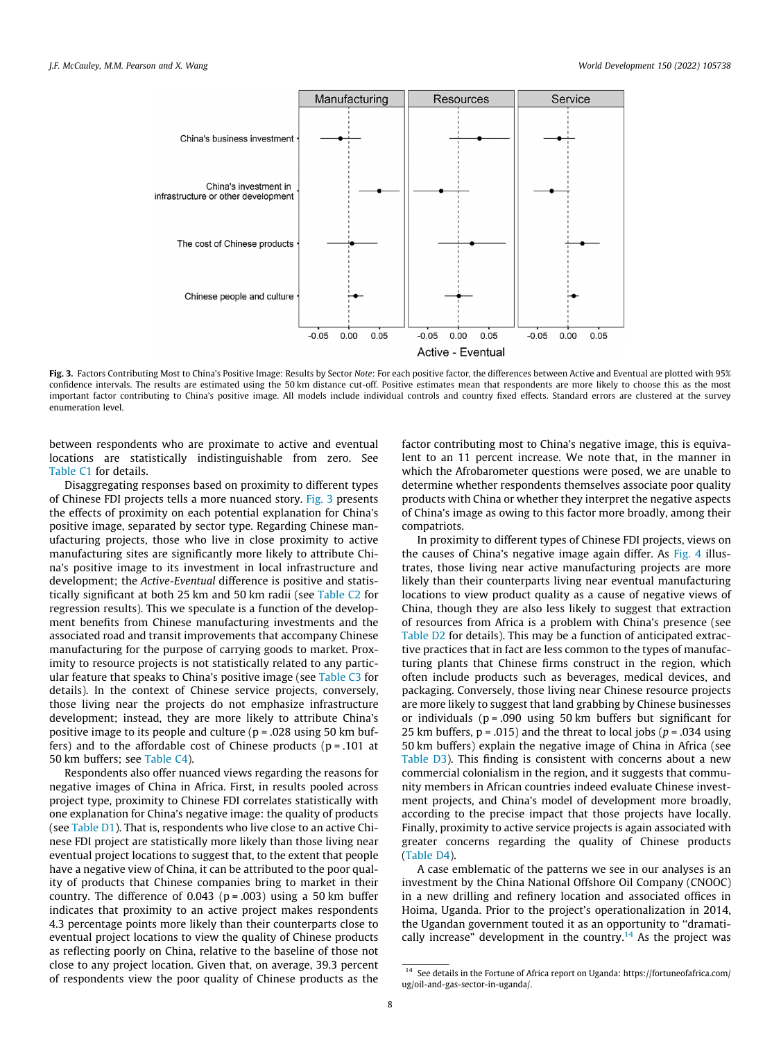

Fig. 3. Factors Contributing Most to China's Positive Image: Results by Sector Note: For each positive factor, the differences between Active and Eventual are plotted with 95% confidence intervals. The results are estimated using the 50 km distance cut-off. Positive estimates mean that respondents are more likely to choose this as the most important factor contributing to China's positive image. All models include individual controls and country fixed effects. Standard errors are clustered at the survey enumeration level.

between respondents who are proximate to active and eventual locations are statistically indistinguishable from zero. See Table C1 for details.

Disaggregating responses based on proximity to different types of Chinese FDI projects tells a more nuanced story. Fig. 3 presents the effects of proximity on each potential explanation for China's positive image, separated by sector type. Regarding Chinese manufacturing projects, those who live in close proximity to active manufacturing sites are significantly more likely to attribute China's positive image to its investment in local infrastructure and development; the Active-Eventual difference is positive and statistically significant at both 25 km and 50 km radii (see Table C2 for regression results). This we speculate is a function of the development benefits from Chinese manufacturing investments and the associated road and transit improvements that accompany Chinese manufacturing for the purpose of carrying goods to market. Proximity to resource projects is not statistically related to any particular feature that speaks to China's positive image (see Table C3 for details). In the context of Chinese service projects, conversely, those living near the projects do not emphasize infrastructure development; instead, they are more likely to attribute China's positive image to its people and culture (p = .028 using 50 km buffers) and to the affordable cost of Chinese products  $(p = .101$  at 50 km buffers; see Table C4).

Respondents also offer nuanced views regarding the reasons for negative images of China in Africa. First, in results pooled across project type, proximity to Chinese FDI correlates statistically with one explanation for China's negative image: the quality of products (see Table D1). That is, respondents who live close to an active Chinese FDI project are statistically more likely than those living near eventual project locations to suggest that, to the extent that people have a negative view of China, it can be attributed to the poor quality of products that Chinese companies bring to market in their country. The difference of 0.043 ( $p = .003$ ) using a 50 km buffer indicates that proximity to an active project makes respondents 4.3 percentage points more likely than their counterparts close to eventual project locations to view the quality of Chinese products as reflecting poorly on China, relative to the baseline of those not close to any project location. Given that, on average, 39.3 percent of respondents view the poor quality of Chinese products as the

factor contributing most to China's negative image, this is equivalent to an 11 percent increase. We note that, in the manner in which the Afrobarometer questions were posed, we are unable to determine whether respondents themselves associate poor quality products with China or whether they interpret the negative aspects of China's image as owing to this factor more broadly, among their compatriots.

In proximity to different types of Chinese FDI projects, views on the causes of China's negative image again differ. As [Fig. 4](#page-8-0) illustrates, those living near active manufacturing projects are more likely than their counterparts living near eventual manufacturing locations to view product quality as a cause of negative views of China, though they are also less likely to suggest that extraction of resources from Africa is a problem with China's presence (see Table D2 for details). This may be a function of anticipated extractive practices that in fact are less common to the types of manufacturing plants that Chinese firms construct in the region, which often include products such as beverages, medical devices, and packaging. Conversely, those living near Chinese resource projects are more likely to suggest that land grabbing by Chinese businesses or individuals ( $p = .090$  using 50 km buffers but significant for 25 km buffers,  $p = .015$ ) and the threat to local jobs ( $p = .034$  using 50 km buffers) explain the negative image of China in Africa (see Table D3). This finding is consistent with concerns about a new commercial colonialism in the region, and it suggests that community members in African countries indeed evaluate Chinese investment projects, and China's model of development more broadly, according to the precise impact that those projects have locally. Finally, proximity to active service projects is again associated with greater concerns regarding the quality of Chinese products (Table D4).

A case emblematic of the patterns we see in our analyses is an investment by the China National Offshore Oil Company (CNOOC) in a new drilling and refinery location and associated offices in Hoima, Uganda. Prior to the project's operationalization in 2014, the Ugandan government touted it as an opportunity to ''dramatically increase" development in the country.<sup>14</sup> As the project was

<sup>14</sup> See details in the Fortune of Africa report on Uganda: https://fortuneofafrica.com/ ug/oil-and-gas-sector-in-uganda/.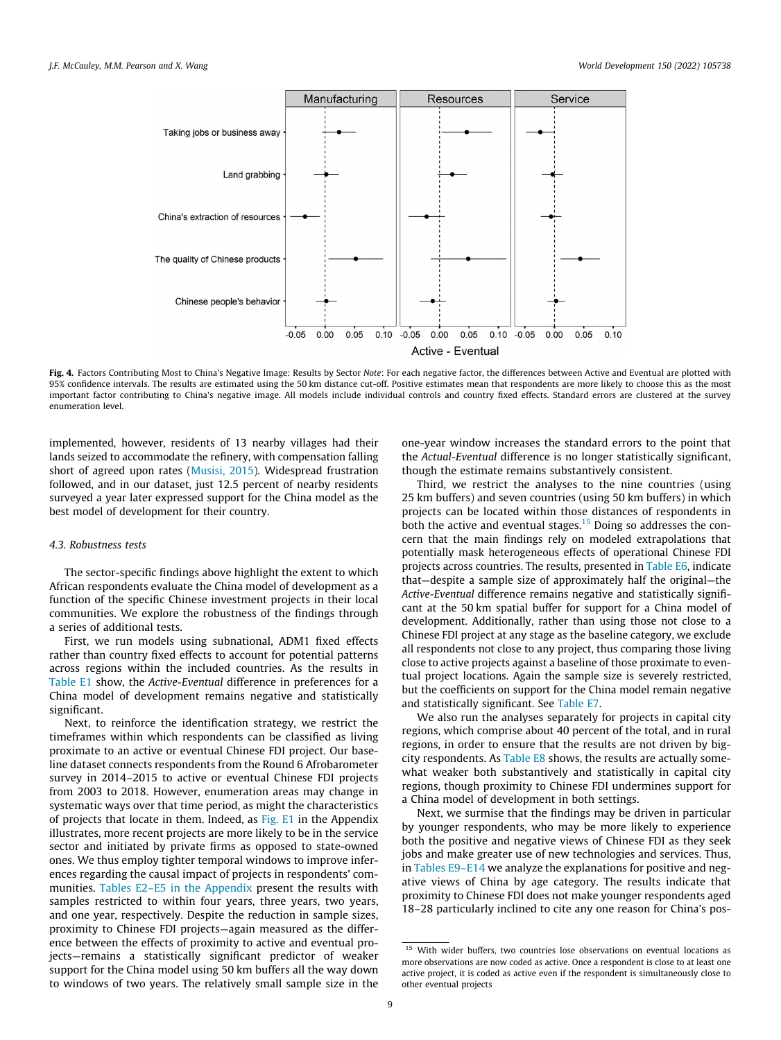<span id="page-8-0"></span>

Fig. 4. Factors Contributing Most to China's Negative Image: Results by Sector Note: For each negative factor, the differences between Active and Eventual are plotted with 95% confidence intervals. The results are estimated using the 50 km distance cut-off. Positive estimates mean that respondents are more likely to choose this as the most important factor contributing to China's negative image. All models include individual controls and country fixed effects. Standard errors are clustered at the survey enumeration level.

implemented, however, residents of 13 nearby villages had their lands seized to accommodate the refinery, with compensation falling short of agreed upon rates ([Musisi, 2015\)](#page-10-0). Widespread frustration followed, and in our dataset, just 12.5 percent of nearby residents surveyed a year later expressed support for the China model as the best model of development for their country.

# 4.3. Robustness tests

The sector-specific findings above highlight the extent to which African respondents evaluate the China model of development as a function of the specific Chinese investment projects in their local communities. We explore the robustness of the findings through a series of additional tests.

First, we run models using subnational, ADM1 fixed effects rather than country fixed effects to account for potential patterns across regions within the included countries. As the results in Table E1 show, the Active-Eventual difference in preferences for a China model of development remains negative and statistically significant.

Next, to reinforce the identification strategy, we restrict the timeframes within which respondents can be classified as living proximate to an active or eventual Chinese FDI project. Our baseline dataset connects respondents from the Round 6 Afrobarometer survey in 2014–2015 to active or eventual Chinese FDI projects from 2003 to 2018. However, enumeration areas may change in systematic ways over that time period, as might the characteristics of projects that locate in them. Indeed, as Fig. E1 in the Appendix illustrates, more recent projects are more likely to be in the service sector and initiated by private firms as opposed to state-owned ones. We thus employ tighter temporal windows to improve inferences regarding the causal impact of projects in respondents' communities. Tables E2–E5 in the Appendix present the results with samples restricted to within four years, three years, two years, and one year, respectively. Despite the reduction in sample sizes, proximity to Chinese FDI projects—again measured as the difference between the effects of proximity to active and eventual projects—remains a statistically significant predictor of weaker support for the China model using 50 km buffers all the way down to windows of two years. The relatively small sample size in the

one-year window increases the standard errors to the point that the Actual-Eventual difference is no longer statistically significant, though the estimate remains substantively consistent.

Third, we restrict the analyses to the nine countries (using 25 km buffers) and seven countries (using 50 km buffers) in which projects can be located within those distances of respondents in both the active and eventual stages.<sup>15</sup> Doing so addresses the concern that the main findings rely on modeled extrapolations that potentially mask heterogeneous effects of operational Chinese FDI projects across countries. The results, presented in Table E6, indicate that—despite a sample size of approximately half the original—the Active-Eventual difference remains negative and statistically significant at the 50 km spatial buffer for support for a China model of development. Additionally, rather than using those not close to a Chinese FDI project at any stage as the baseline category, we exclude all respondents not close to any project, thus comparing those living close to active projects against a baseline of those proximate to eventual project locations. Again the sample size is severely restricted, but the coefficients on support for the China model remain negative and statistically significant. See Table E7.

We also run the analyses separately for projects in capital city regions, which comprise about 40 percent of the total, and in rural regions, in order to ensure that the results are not driven by bigcity respondents. As Table E8 shows, the results are actually somewhat weaker both substantively and statistically in capital city regions, though proximity to Chinese FDI undermines support for a China model of development in both settings.

Next, we surmise that the findings may be driven in particular by younger respondents, who may be more likely to experience both the positive and negative views of Chinese FDI as they seek jobs and make greater use of new technologies and services. Thus, in Tables E9–E14 we analyze the explanations for positive and negative views of China by age category. The results indicate that proximity to Chinese FDI does not make younger respondents aged 18–28 particularly inclined to cite any one reason for China's pos-

<sup>&</sup>lt;sup>15</sup> With wider buffers, two countries lose observations on eventual locations as more observations are now coded as active. Once a respondent is close to at least one active project, it is coded as active even if the respondent is simultaneously close to other eventual projects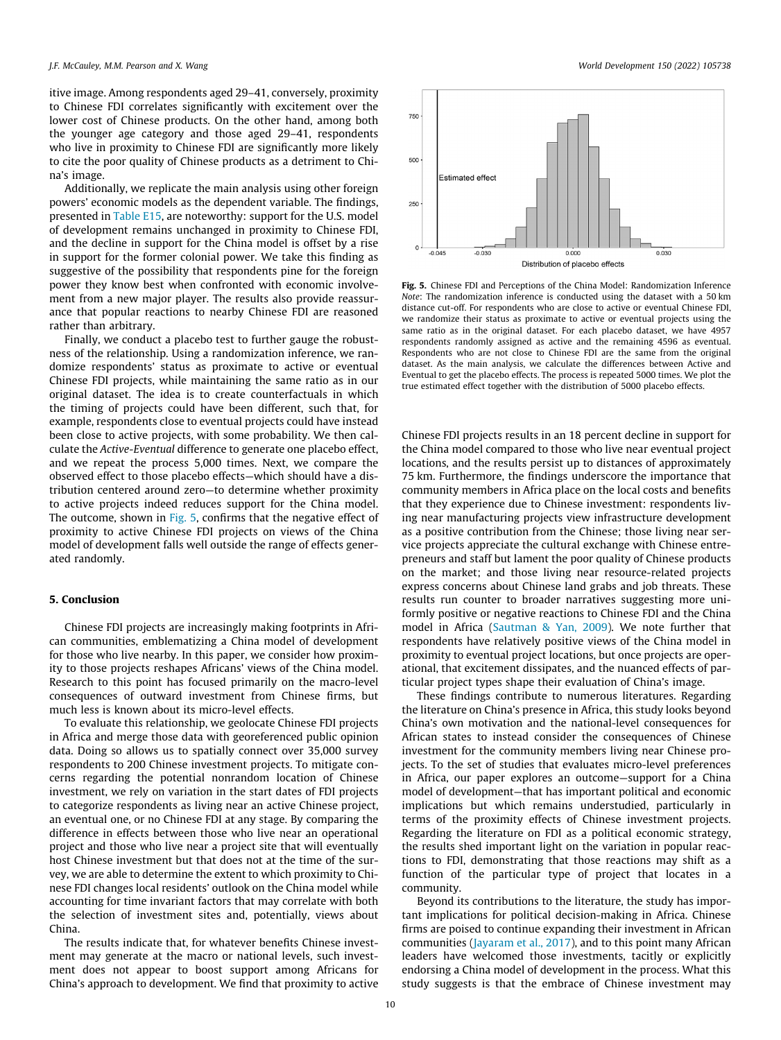itive image. Among respondents aged 29–41, conversely, proximity to Chinese FDI correlates significantly with excitement over the lower cost of Chinese products. On the other hand, among both the younger age category and those aged 29–41, respondents who live in proximity to Chinese FDI are significantly more likely to cite the poor quality of Chinese products as a detriment to China's image.

Additionally, we replicate the main analysis using other foreign powers' economic models as the dependent variable. The findings, presented in Table E15, are noteworthy: support for the U.S. model of development remains unchanged in proximity to Chinese FDI, and the decline in support for the China model is offset by a rise in support for the former colonial power. We take this finding as suggestive of the possibility that respondents pine for the foreign power they know best when confronted with economic involvement from a new major player. The results also provide reassurance that popular reactions to nearby Chinese FDI are reasoned rather than arbitrary.

Finally, we conduct a placebo test to further gauge the robustness of the relationship. Using a randomization inference, we randomize respondents' status as proximate to active or eventual Chinese FDI projects, while maintaining the same ratio as in our original dataset. The idea is to create counterfactuals in which the timing of projects could have been different, such that, for example, respondents close to eventual projects could have instead been close to active projects, with some probability. We then calculate the Active-Eventual difference to generate one placebo effect, and we repeat the process 5,000 times. Next, we compare the observed effect to those placebo effects—which should have a distribution centered around zero—to determine whether proximity to active projects indeed reduces support for the China model. The outcome, shown in Fig. 5, confirms that the negative effect of proximity to active Chinese FDI projects on views of the China model of development falls well outside the range of effects generated randomly.

# 5. Conclusion

Chinese FDI projects are increasingly making footprints in African communities, emblematizing a China model of development for those who live nearby. In this paper, we consider how proximity to those projects reshapes Africans' views of the China model. Research to this point has focused primarily on the macro-level consequences of outward investment from Chinese firms, but much less is known about its micro-level effects.

To evaluate this relationship, we geolocate Chinese FDI projects in Africa and merge those data with georeferenced public opinion data. Doing so allows us to spatially connect over 35,000 survey respondents to 200 Chinese investment projects. To mitigate concerns regarding the potential nonrandom location of Chinese investment, we rely on variation in the start dates of FDI projects to categorize respondents as living near an active Chinese project, an eventual one, or no Chinese FDI at any stage. By comparing the difference in effects between those who live near an operational project and those who live near a project site that will eventually host Chinese investment but that does not at the time of the survey, we are able to determine the extent to which proximity to Chinese FDI changes local residents' outlook on the China model while accounting for time invariant factors that may correlate with both the selection of investment sites and, potentially, views about China.

The results indicate that, for whatever benefits Chinese investment may generate at the macro or national levels, such investment does not appear to boost support among Africans for China's approach to development. We find that proximity to active



Fig. 5. Chinese FDI and Perceptions of the China Model: Randomization Inference Note: The randomization inference is conducted using the dataset with a 50 km distance cut-off. For respondents who are close to active or eventual Chinese FDI, we randomize their status as proximate to active or eventual projects using the same ratio as in the original dataset. For each placebo dataset, we have 4957 respondents randomly assigned as active and the remaining 4596 as eventual. Respondents who are not close to Chinese FDI are the same from the original dataset. As the main analysis, we calculate the differences between Active and Eventual to get the placebo effects. The process is repeated 5000 times. We plot the true estimated effect together with the distribution of 5000 placebo effects.

Chinese FDI projects results in an 18 percent decline in support for the China model compared to those who live near eventual project locations, and the results persist up to distances of approximately 75 km. Furthermore, the findings underscore the importance that community members in Africa place on the local costs and benefits that they experience due to Chinese investment: respondents living near manufacturing projects view infrastructure development as a positive contribution from the Chinese; those living near service projects appreciate the cultural exchange with Chinese entrepreneurs and staff but lament the poor quality of Chinese products on the market; and those living near resource-related projects express concerns about Chinese land grabs and job threats. These results run counter to broader narratives suggesting more uniformly positive or negative reactions to Chinese FDI and the China model in Africa [\(Sautman & Yan, 2009](#page-11-0)). We note further that respondents have relatively positive views of the China model in proximity to eventual project locations, but once projects are operational, that excitement dissipates, and the nuanced effects of particular project types shape their evaluation of China's image.

These findings contribute to numerous literatures. Regarding the literature on China's presence in Africa, this study looks beyond China's own motivation and the national-level consequences for African states to instead consider the consequences of Chinese investment for the community members living near Chinese projects. To the set of studies that evaluates micro-level preferences in Africa, our paper explores an outcome—support for a China model of development—that has important political and economic implications but which remains understudied, particularly in terms of the proximity effects of Chinese investment projects. Regarding the literature on FDI as a political economic strategy, the results shed important light on the variation in popular reactions to FDI, demonstrating that those reactions may shift as a function of the particular type of project that locates in a community.

Beyond its contributions to the literature, the study has important implications for political decision-making in Africa. Chinese firms are poised to continue expanding their investment in African communities [\(Jayaram et al., 2017\)](#page-10-0), and to this point many African leaders have welcomed those investments, tacitly or explicitly endorsing a China model of development in the process. What this study suggests is that the embrace of Chinese investment may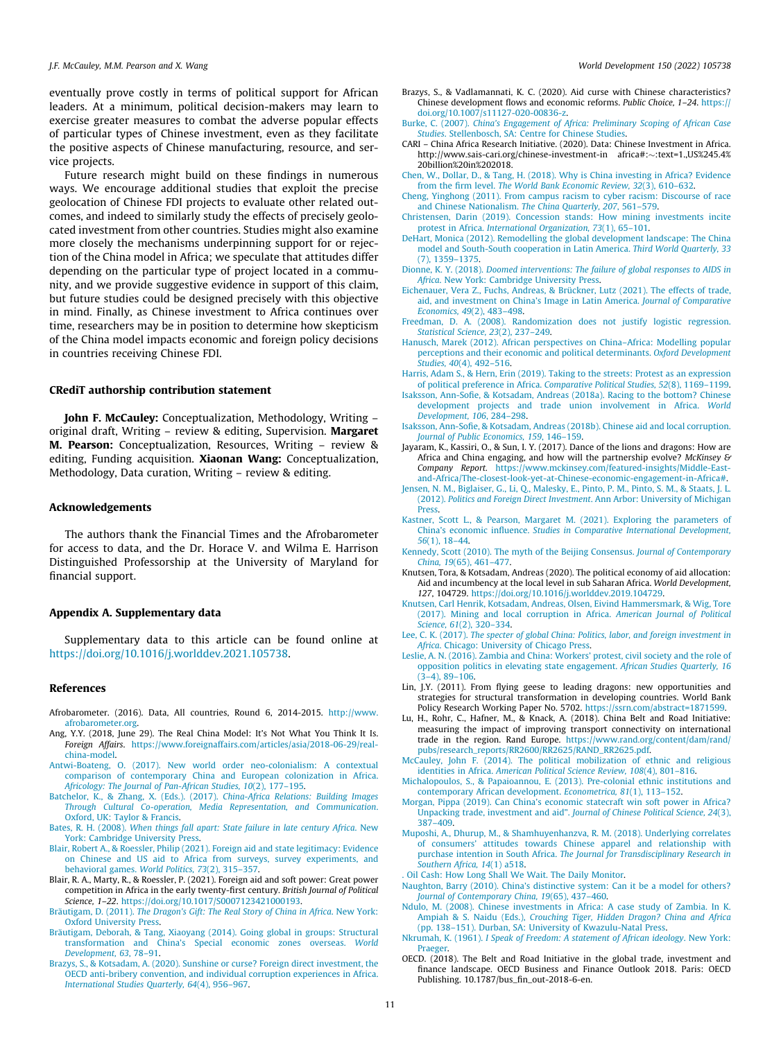<span id="page-10-0"></span>eventually prove costly in terms of political support for African leaders. At a minimum, political decision-makers may learn to exercise greater measures to combat the adverse popular effects of particular types of Chinese investment, even as they facilitate the positive aspects of Chinese manufacturing, resource, and service projects.

Future research might build on these findings in numerous ways. We encourage additional studies that exploit the precise geolocation of Chinese FDI projects to evaluate other related outcomes, and indeed to similarly study the effects of precisely geolocated investment from other countries. Studies might also examine more closely the mechanisms underpinning support for or rejection of the China model in Africa; we speculate that attitudes differ depending on the particular type of project located in a community, and we provide suggestive evidence in support of this claim, but future studies could be designed precisely with this objective in mind. Finally, as Chinese investment to Africa continues over time, researchers may be in position to determine how skepticism of the China model impacts economic and foreign policy decisions in countries receiving Chinese FDI.

# CRediT authorship contribution statement

John F. McCauley: Conceptualization, Methodology, Writing original draft, Writing – review & editing, Supervision. Margaret M. Pearson: Conceptualization, Resources, Writing – review & editing, Funding acquisition. Xiaonan Wang: Conceptualization, Methodology, Data curation, Writing – review & editing.

# Acknowledgements

The authors thank the Financial Times and the Afrobarometer for access to data, and the Dr. Horace V. and Wilma E. Harrison Distinguished Professorship at the University of Maryland for financial support.

# Appendix A. Supplementary data

Supplementary data to this article can be found online at [https://doi.org/10.1016/j.worlddev.2021.105738.](https://doi.org/10.1016/j.worlddev.2021.105738)

#### References

- Afrobarometer. (2016). Data, All countries, Round 6, 2014-2015. [http://www.](http://www.afrobarometer.org) [afrobarometer.org](http://www.afrobarometer.org).
- Ang, Y.Y. (2018, June 29). The Real China Model: It's Not What You Think It Is. Foreign Affairs. [https://www.foreignaffairs.com/articles/asia/2018-06-29/real](https://www.foreignaffairs.com/articles/asia/2018-06-29/real-china-model)[china-model.](https://www.foreignaffairs.com/articles/asia/2018-06-29/real-china-model)
- [Antwi-Boateng, O. \(2017\). New world order neo-colonialism: A contextual](http://refhub.elsevier.com/S0305-750X(21)00353-3/h0015) [comparison of contemporary China and European colonization in Africa.](http://refhub.elsevier.com/S0305-750X(21)00353-3/h0015) [Africology: The Journal of Pan-African Studies, 10](http://refhub.elsevier.com/S0305-750X(21)00353-3/h0015)(2), 177–195.
- [Batchelor, K., & Zhang, X. \(Eds.\). \(2017\).](http://refhub.elsevier.com/S0305-750X(21)00353-3/h0020) China-Africa Relations: Building Images [Through Cultural Co-operation, Media Representation, and Communication](http://refhub.elsevier.com/S0305-750X(21)00353-3/h0020). [Oxford, UK: Taylor & Francis.](http://refhub.elsevier.com/S0305-750X(21)00353-3/h0020)
- Bates, R. H. (2008). [When things fall apart: State failure in late century Africa](http://refhub.elsevier.com/S0305-750X(21)00353-3/h0025). New [York: Cambridge University Press.](http://refhub.elsevier.com/S0305-750X(21)00353-3/h0025)
- [Blair, Robert A., & Roessler, Philip \(2021\). Foreign aid and state legitimacy: Evidence](http://refhub.elsevier.com/S0305-750X(21)00353-3/h0030) [on Chinese and US aid to Africa from surveys, survey experiments, and](http://refhub.elsevier.com/S0305-750X(21)00353-3/h0030) [behavioral games.](http://refhub.elsevier.com/S0305-750X(21)00353-3/h0030) World Politics, 73(2), 315–357.
- Blair, R. A., Marty, R., & Roessler, P. (2021). Foreign aid and soft power: Great power competition in Africa in the early twenty-first century. British Journal of Political Science, 1–22. <https://doi.org/10.1017/S0007123421000193>.
- Bräutigam, D. (2011). [The Dragon's Gift: The Real Story of China in Africa](http://refhub.elsevier.com/S0305-750X(21)00353-3/h0040). New York: [Oxford University Press](http://refhub.elsevier.com/S0305-750X(21)00353-3/h0040).
- [Bräutigam, Deborah, & Tang, Xiaoyang \(2014\). Going global in groups: Structural](http://refhub.elsevier.com/S0305-750X(21)00353-3/h0045) [transformation and China's Special economic zones overseas.](http://refhub.elsevier.com/S0305-750X(21)00353-3/h0045) World [Development, 63](http://refhub.elsevier.com/S0305-750X(21)00353-3/h0045), 78–91.
- [Brazys, S., & Kotsadam, A. \(2020\). Sunshine or curse? Foreign direct investment, the](http://refhub.elsevier.com/S0305-750X(21)00353-3/h0050) [OECD anti-bribery convention, and individual corruption experiences in Africa.](http://refhub.elsevier.com/S0305-750X(21)00353-3/h0050) [International Studies Quarterly, 64](http://refhub.elsevier.com/S0305-750X(21)00353-3/h0050)(4), 956–967.
- Brazys, S., & Vadlamannati, K. C. (2020). Aid curse with Chinese characteristics? Chinese development flows and economic reforms. Public Choice, 1–24. [https://](https://doi.org/10.1007/s11127-020-00836-z) [doi.org/10.1007/s11127-020-00836-z.](https://doi.org/10.1007/s11127-020-00836-z)
- Burke, C. (2007). [China's Engagement of Africa: Preliminary Scoping of African Case](http://refhub.elsevier.com/S0305-750X(21)00353-3/h0060) Studies[. Stellenbosch, SA: Centre for Chinese Studies.](http://refhub.elsevier.com/S0305-750X(21)00353-3/h0060)
- CARI China Africa Research Initiative. (2020). Data: Chinese Investment in Africa. http://www.sais-cari.org/chinese-investment-in africa#:~:text=1.,US%245.4% 20billion%20in%202018.
- [Chen, W., Dollar, D., & Tang, H. \(2018\). Why is China investing in Africa? Evidence](http://refhub.elsevier.com/S0305-750X(21)00353-3/h0070) from the firm level. [The World Bank Economic Review, 32](http://refhub.elsevier.com/S0305-750X(21)00353-3/h0070)(3), 610–632.
- [Cheng, Yinghong \(2011\). From campus racism to cyber racism: Discourse of race](http://refhub.elsevier.com/S0305-750X(21)00353-3/h0075) [and Chinese Nationalism.](http://refhub.elsevier.com/S0305-750X(21)00353-3/h0075) The China Quarterly, 207, 561–579.
- [Christensen, Darin \(2019\). Concession stands: How mining investments incite](http://refhub.elsevier.com/S0305-750X(21)00353-3/h0080) protest in Africa. [International Organization, 73](http://refhub.elsevier.com/S0305-750X(21)00353-3/h0080)(1), 65–101.
- [DeHart, Monica \(2012\). Remodelling the global development landscape: The China](http://refhub.elsevier.com/S0305-750X(21)00353-3/h0085) [model and South-South cooperation in Latin America.](http://refhub.elsevier.com/S0305-750X(21)00353-3/h0085) Third World Quarterly, 33 [\(7\), 1359–1375](http://refhub.elsevier.com/S0305-750X(21)00353-3/h0085).
- Dionne, K. Y. (2018). [Doomed interventions: The failure of global responses to AIDS in](http://refhub.elsevier.com/S0305-750X(21)00353-3/h0090) Africa[. New York: Cambridge University Press](http://refhub.elsevier.com/S0305-750X(21)00353-3/h0090).
- [Eichenauer, Vera Z., Fuchs, Andreas, & Brückner, Lutz \(2021\). The effects of trade,](http://refhub.elsevier.com/S0305-750X(21)00353-3/h0095) [aid, and investment on China's Image in Latin America.](http://refhub.elsevier.com/S0305-750X(21)00353-3/h0095) Journal of Comparative [Economics, 49](http://refhub.elsevier.com/S0305-750X(21)00353-3/h0095)(2), 483–498.
- [Freedman, D. A. \(2008\). Randomization does not justify logistic regression.](http://refhub.elsevier.com/S0305-750X(21)00353-3/h0100) [Statistical Science, 23](http://refhub.elsevier.com/S0305-750X(21)00353-3/h0100)(2), 237–249.
- [Hanusch, Marek \(2012\). African perspectives on China–Africa: Modelling popular](http://refhub.elsevier.com/S0305-750X(21)00353-3/h0105) [perceptions and their economic and political determinants.](http://refhub.elsevier.com/S0305-750X(21)00353-3/h0105) Oxford Development Studies, 40[\(4\), 492–516.](http://refhub.elsevier.com/S0305-750X(21)00353-3/h0105)
- [Harris, Adam S., & Hern, Erin \(2019\). Taking to the streets: Protest as an expression](http://refhub.elsevier.com/S0305-750X(21)00353-3/h0110) of political preference in Africa. [Comparative Political Studies, 52](http://refhub.elsevier.com/S0305-750X(21)00353-3/h0110)(8), 1169–1199.
- [Isaksson, Ann-Sofie, & Kotsadam, Andreas \(2018a\). Racing to the bottom? Chinese](http://refhub.elsevier.com/S0305-750X(21)00353-3/h0115) [development projects and trade union involvement in Africa.](http://refhub.elsevier.com/S0305-750X(21)00353-3/h0115) World [Development, 106](http://refhub.elsevier.com/S0305-750X(21)00353-3/h0115), 284–298.
- [Isaksson, Ann-Sofie, & Kotsadam, Andreas \(2018b\). Chinese aid and local corruption.](http://refhub.elsevier.com/S0305-750X(21)00353-3/h0120) [Journal of Public Economics, 159](http://refhub.elsevier.com/S0305-750X(21)00353-3/h0120), 146–159.
- Jayaram, K., Kassiri, O., & Sun, I. Y. (2017). Dance of the lions and dragons: How are Africa and China engaging, and how will the partnership evolve? McKinsey & Company Report. [https://www.mckinsey.com/featured-insights/Middle-East](https://www.mckinsey.com/featured-insights/Middle-East-and-Africa/The-closest-look-yet-at-Chinese-economic-engagement-in-Africa%23)[and-Africa/The-closest-look-yet-at-Chinese-economic-engagement-in-Africa#](https://www.mckinsey.com/featured-insights/Middle-East-and-Africa/The-closest-look-yet-at-Chinese-economic-engagement-in-Africa%23).
- [Jensen, N. M., Biglaiser, G., Li, Q., Malesky, E., Pinto, P. M., Pinto, S. M., & Staats, J. L.](http://refhub.elsevier.com/S0305-750X(21)00353-3/h0130) (2012). [Politics and Foreign Direct Investment](http://refhub.elsevier.com/S0305-750X(21)00353-3/h0130). Ann Arbor: University of Michigan [Press](http://refhub.elsevier.com/S0305-750X(21)00353-3/h0130).
- [Kastner, Scott L., & Pearson, Margaret M. \(2021\). Exploring the parameters of](http://refhub.elsevier.com/S0305-750X(21)00353-3/h0135) China's economic influence. [Studies in Comparative International Development,](http://refhub.elsevier.com/S0305-750X(21)00353-3/h0135) 56[\(1\), 18–44](http://refhub.elsevier.com/S0305-750X(21)00353-3/h0135).
- [Kennedy, Scott \(2010\). The myth of the Beijing Consensus.](http://refhub.elsevier.com/S0305-750X(21)00353-3/h0140) Journal of Contemporary China, 19[\(65\), 461–477.](http://refhub.elsevier.com/S0305-750X(21)00353-3/h0140)
- Knutsen, Tora, & Kotsadam, Andreas (2020). The political economy of aid allocation: Aid and incumbency at the local level in sub Saharan Africa. World Development, 127, 104729. <https://doi.org/10.1016/j.worlddev.2019.104729>.
- [Knutsen, Carl Henrik, Kotsadam, Andreas, Olsen, Eivind Hammersmark, & Wig, Tore](http://refhub.elsevier.com/S0305-750X(21)00353-3/h0150) [\(2017\). Mining and local corruption in Africa.](http://refhub.elsevier.com/S0305-750X(21)00353-3/h0150) American Journal of Political Science, 61[\(2\), 320–334](http://refhub.elsevier.com/S0305-750X(21)00353-3/h0150).
- Lee, C. K. (2017). [The specter of global China: Politics, labor, and foreign investment in](http://refhub.elsevier.com/S0305-750X(21)00353-3/h0155) Africa[. Chicago: University of Chicago Press.](http://refhub.elsevier.com/S0305-750X(21)00353-3/h0155)
- [Leslie, A. N. \(2016\). Zambia and China: Workers' protest, civil society and the role of](http://refhub.elsevier.com/S0305-750X(21)00353-3/h0160) [opposition politics in elevating state engagement.](http://refhub.elsevier.com/S0305-750X(21)00353-3/h0160) African Studies Quarterly, 16  $(3-4)$ , 89–106
- Lin, J.Y. (2011). From flying geese to leading dragons: new opportunities and strategies for structural transformation in developing countries. World Bank Policy Research Working Paper No. 5702. [https://ssrn.com/abstract=1871599.](https://ssrn.com/abstract=1871599)
- Lu, H., Rohr, C., Hafner, M., & Knack, A. (2018). China Belt and Road Initiative: measuring the impact of improving transport connectivity on international trade in the region. Rand Europe. [https://www.rand.org/content/dam/rand/](https://www.rand.org/content/dam/rand/pubs/research_reports/RR2600/RR2625/RAND_RR2625.pdf) [pubs/research\\_reports/RR2600/RR2625/RAND\\_RR2625.pdf](https://www.rand.org/content/dam/rand/pubs/research_reports/RR2600/RR2625/RAND_RR2625.pdf).
- [McCauley, John F. \(2014\). The political mobilization of ethnic and religious](http://refhub.elsevier.com/S0305-750X(21)00353-3/h0175) identities in Africa. [American Political Science Review, 108](http://refhub.elsevier.com/S0305-750X(21)00353-3/h0175)(4), 801–816.
- [Michalopoulos, S., & Papaioannou, E. \(2013\). Pre-colonial ethnic institutions and](http://refhub.elsevier.com/S0305-750X(21)00353-3/h0180) [contemporary African development.](http://refhub.elsevier.com/S0305-750X(21)00353-3/h0180) Econometrica, 81(1), 113–152.
- [Morgan, Pippa \(2019\). Can China's economic statecraft win soft power in Africa?](http://refhub.elsevier.com/S0305-750X(21)00353-3/h0185) [Unpacking trade, investment and aid"](http://refhub.elsevier.com/S0305-750X(21)00353-3/h0185). [Journal of Chinese Political Science, 24](http://refhub.elsevier.com/S0305-750X(21)00353-3/h0185)(3), [387–409](http://refhub.elsevier.com/S0305-750X(21)00353-3/h0185).
- [Muposhi, A., Dhurup, M., & Shamhuyenhanzva, R. M. \(2018\). Underlying correlates](http://refhub.elsevier.com/S0305-750X(21)00353-3/h0190) [of consumers' attitudes towards Chinese apparel and relationship with](http://refhub.elsevier.com/S0305-750X(21)00353-3/h0190) purchase intention in South Africa. [The Journal for Transdisciplinary Research in](http://refhub.elsevier.com/S0305-750X(21)00353-3/h0190) [Southern Africa, 14](http://refhub.elsevier.com/S0305-750X(21)00353-3/h0190)(1) a518.
- [. Oil Cash: How Long Shall We Wait. The Daily Monitor.](http://refhub.elsevier.com/S0305-750X(21)00353-3/h0195)
- [Naughton, Barry \(2010\). China's distinctive system: Can it be a model for others?](http://refhub.elsevier.com/S0305-750X(21)00353-3/h0200) [Journal of Contemporary China, 19](http://refhub.elsevier.com/S0305-750X(21)00353-3/h0200)(65), 437–460.
- [Ndulo, M. \(2008\). Chinese investments in Africa: A case study of Zambia. In K.](http://refhub.elsevier.com/S0305-750X(21)00353-3/h0205) Ampiah & S. Naidu (Eds.), [Crouching Tiger, Hidden Dragon? China and Africa](http://refhub.elsevier.com/S0305-750X(21)00353-3/h0205) [\(pp. 138–151\). Durban, SA: University of Kwazulu-Natal Press.](http://refhub.elsevier.com/S0305-750X(21)00353-3/h0205)
- Nkrumah, K. (1961). [I Speak of Freedom: A statement of African ideology](http://refhub.elsevier.com/S0305-750X(21)00353-3/h0210). New York: [Praeger](http://refhub.elsevier.com/S0305-750X(21)00353-3/h0210).
- OECD. (2018). The Belt and Road Initiative in the global trade, investment and finance landscape. OECD Business and Finance Outlook 2018. Paris: OECD Publishing. 10.1787/bus\_fin\_out-2018-6-en.